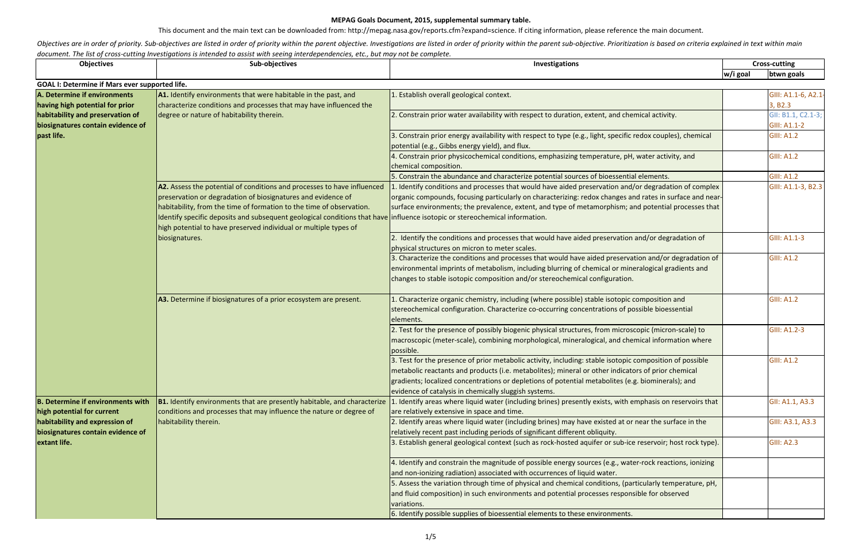This document and the main text can be downloaded from: http://mepag.nasa.gov/reports.cfm?expand=science. If citing information, please reference the main document.

Objectives are in order of priority. Sub-objectives are listed in order of priority within the parent objective. Investigations are listed in order of priority within the parent sub-objective. Prioritization is based on cr *document. The list of cross-cutting Investigations is intended to assist with seeing interdependencies, etc., but may not be complete.*

| <b>Objectives</b>                                                     | Sub-objectives                                                                                                                                                                                  | Investigations                                                                                                                                                                       |          | <b>Cross-cutting</b> |
|-----------------------------------------------------------------------|-------------------------------------------------------------------------------------------------------------------------------------------------------------------------------------------------|--------------------------------------------------------------------------------------------------------------------------------------------------------------------------------------|----------|----------------------|
|                                                                       |                                                                                                                                                                                                 |                                                                                                                                                                                      | w/i goal | btwn goals           |
| <b>GOAL I: Determine if Mars ever supported life.</b>                 |                                                                                                                                                                                                 |                                                                                                                                                                                      |          |                      |
| A. Determine if environments                                          | A1. Identify environments that were habitable in the past, and                                                                                                                                  | . Establish overall geological context.                                                                                                                                              |          | GIII: A1.1-6, A2.1-  |
| having high potential for prior                                       | characterize conditions and processes that may have influenced the                                                                                                                              |                                                                                                                                                                                      |          | 3, B2.3              |
| habitability and preservation of<br>biosignatures contain evidence of | degree or nature of habitability therein.                                                                                                                                                       | 2. Constrain prior water availability with respect to duration, extent, and chemical activity.                                                                                       |          | GII: B1.1, C2.1-3;   |
|                                                                       |                                                                                                                                                                                                 |                                                                                                                                                                                      |          | <b>GIII: A1.1-2</b>  |
| past life.                                                            |                                                                                                                                                                                                 | 3. Constrain prior energy availability with respect to type (e.g., light, specific redox couples), chemical                                                                          |          | <b>GIII: A1.2</b>    |
|                                                                       |                                                                                                                                                                                                 | potential (e.g., Gibbs energy yield), and flux.                                                                                                                                      |          |                      |
|                                                                       |                                                                                                                                                                                                 | 4. Constrain prior physicochemical conditions, emphasizing temperature, pH, water activity, and                                                                                      |          | <b>GIII: A1.2</b>    |
|                                                                       |                                                                                                                                                                                                 | chemical composition.                                                                                                                                                                |          |                      |
|                                                                       |                                                                                                                                                                                                 | 5. Constrain the abundance and characterize potential sources of bioessential elements.                                                                                              |          | <b>GIII: A1.2</b>    |
|                                                                       | A2. Assess the potential of conditions and processes to have influenced                                                                                                                         | Identify conditions and processes that would have aided preservation and/or degradation of complex                                                                                   |          | GIII: A1.1-3, B2.3   |
|                                                                       | preservation or degradation of biosignatures and evidence of                                                                                                                                    | organic compounds, focusing particularly on characterizing: redox changes and rates in surface and near-                                                                             |          |                      |
|                                                                       | habitability, from the time of formation to the time of observation.                                                                                                                            | surface environments; the prevalence, extent, and type of metamorphism; and potential processes that                                                                                 |          |                      |
|                                                                       | Identify specific deposits and subsequent geological conditions that have influence isotopic or stereochemical information.<br>high potential to have preserved individual or multiple types of |                                                                                                                                                                                      |          |                      |
|                                                                       | biosignatures.                                                                                                                                                                                  | 2. Identify the conditions and processes that would have aided preservation and/or degradation of                                                                                    |          | <b>GIII: A1.1-3</b>  |
|                                                                       |                                                                                                                                                                                                 | physical structures on micron to meter scales.                                                                                                                                       |          |                      |
|                                                                       |                                                                                                                                                                                                 | 3. Characterize the conditions and processes that would have aided preservation and/or degradation of                                                                                |          | <b>GIII: A1.2</b>    |
|                                                                       |                                                                                                                                                                                                 | environmental imprints of metabolism, including blurring of chemical or mineralogical gradients and                                                                                  |          |                      |
|                                                                       |                                                                                                                                                                                                 | changes to stable isotopic composition and/or stereochemical configuration.                                                                                                          |          |                      |
|                                                                       |                                                                                                                                                                                                 |                                                                                                                                                                                      |          |                      |
|                                                                       | A3. Determine if biosignatures of a prior ecosystem are present.                                                                                                                                | . Characterize organic chemistry, including (where possible) stable isotopic composition and                                                                                         |          | <b>GIII: A1.2</b>    |
|                                                                       |                                                                                                                                                                                                 | stereochemical configuration. Characterize co-occurring concentrations of possible bioessential                                                                                      |          |                      |
|                                                                       |                                                                                                                                                                                                 | elements.                                                                                                                                                                            |          |                      |
|                                                                       |                                                                                                                                                                                                 | 2. Test for the presence of possibly biogenic physical structures, from microscopic (micron-scale) to                                                                                |          | GIII: A1.2-3         |
|                                                                       |                                                                                                                                                                                                 | macroscopic (meter-scale), combining morphological, mineralogical, and chemical information where                                                                                    |          |                      |
|                                                                       |                                                                                                                                                                                                 | possible.                                                                                                                                                                            |          |                      |
|                                                                       |                                                                                                                                                                                                 | 3. Test for the presence of prior metabolic activity, including: stable isotopic composition of possible                                                                             |          | <b>GIII: A1.2</b>    |
|                                                                       |                                                                                                                                                                                                 | metabolic reactants and products (i.e. metabolites); mineral or other indicators of prior chemical                                                                                   |          |                      |
|                                                                       |                                                                                                                                                                                                 | gradients; localized concentrations or depletions of potential metabolites (e.g. biominerals); and                                                                                   |          |                      |
|                                                                       |                                                                                                                                                                                                 | evidence of catalysis in chemically sluggish systems.                                                                                                                                |          |                      |
| <b>B. Determine if environments with</b>                              | <b>B1.</b> Identify environments that are presently habitable, and characterize                                                                                                                 | . Identify areas where liquid water (including brines) presently exists, with emphasis on reservoirs that                                                                            |          | GII: A1.1, A3.3      |
| high potential for current                                            | conditions and processes that may influence the nature or degree of                                                                                                                             | are relatively extensive in space and time.                                                                                                                                          |          |                      |
| habitability and expression of                                        | habitability therein.                                                                                                                                                                           | 2. Identify areas where liquid water (including brines) may have existed at or near the surface in the                                                                               |          | GIII: A3.1, A3.3     |
| biosignatures contain evidence of<br>extant life.                     |                                                                                                                                                                                                 | relatively recent past including periods of significant different obliquity.                                                                                                         |          |                      |
|                                                                       |                                                                                                                                                                                                 | 3. Establish general geological context (such as rock-hosted aquifer or sub-ice reservoir; host rock type).                                                                          |          | <b>GIII: A2.3</b>    |
|                                                                       |                                                                                                                                                                                                 |                                                                                                                                                                                      |          |                      |
|                                                                       |                                                                                                                                                                                                 | 4. Identify and constrain the magnitude of possible energy sources (e.g., water-rock reactions, ionizing<br>and non-ionizing radiation) associated with occurrences of liquid water. |          |                      |
|                                                                       |                                                                                                                                                                                                 | 5. Assess the variation through time of physical and chemical conditions, (particularly temperature, pH,                                                                             |          |                      |
|                                                                       |                                                                                                                                                                                                 | and fluid composition) in such environments and potential processes responsible for observed                                                                                         |          |                      |
|                                                                       |                                                                                                                                                                                                 | variations.                                                                                                                                                                          |          |                      |
|                                                                       |                                                                                                                                                                                                 | 6. Identify possible supplies of bioessential elements to these environments.                                                                                                        |          |                      |
|                                                                       |                                                                                                                                                                                                 |                                                                                                                                                                                      |          |                      |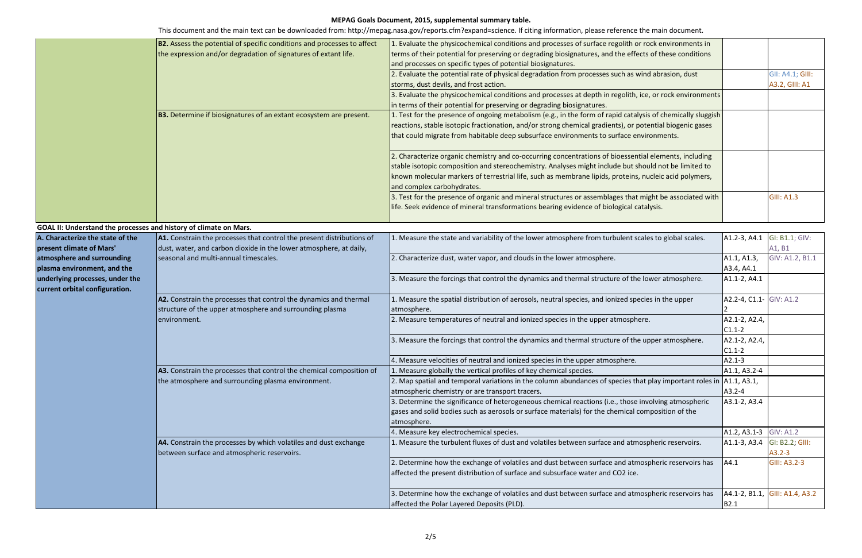|                                                                   | <b>B2.</b> Assess the potential of specific conditions and processes to affect                                  | 1. Evaluate the physicochemical conditions and processes of surface regolith or rock environments in                        |                        |                   |
|-------------------------------------------------------------------|-----------------------------------------------------------------------------------------------------------------|-----------------------------------------------------------------------------------------------------------------------------|------------------------|-------------------|
|                                                                   | the expression and/or degradation of signatures of extant life.                                                 | terms of their potential for preserving or degrading biosignatures, and the effects of these conditions                     |                        |                   |
|                                                                   |                                                                                                                 | and processes on specific types of potential biosignatures.                                                                 |                        |                   |
|                                                                   |                                                                                                                 | 2. Evaluate the potential rate of physical degradation from processes such as wind abrasion, dust                           |                        | GII: A4.1; GIII:  |
|                                                                   |                                                                                                                 | storms, dust devils, and frost action.                                                                                      |                        | A3.2, GIII: A1    |
|                                                                   |                                                                                                                 | 3. Evaluate the physicochemical conditions and processes at depth in regolith, ice, or rock environments                    |                        |                   |
|                                                                   |                                                                                                                 | in terms of their potential for preserving or degrading biosignatures.                                                      |                        |                   |
|                                                                   | <b>B3.</b> Determine if biosignatures of an extant ecosystem are present.                                       | 1. Test for the presence of ongoing metabolism (e.g., in the form of rapid catalysis of chemically sluggish                 |                        |                   |
|                                                                   |                                                                                                                 | reactions, stable isotopic fractionation, and/or strong chemical gradients), or potential biogenic gases                    |                        |                   |
|                                                                   |                                                                                                                 |                                                                                                                             |                        |                   |
|                                                                   |                                                                                                                 | that could migrate from habitable deep subsurface environments to surface environments.                                     |                        |                   |
|                                                                   |                                                                                                                 |                                                                                                                             |                        |                   |
|                                                                   |                                                                                                                 | 2. Characterize organic chemistry and co-occurring concentrations of bioessential elements, including                       |                        |                   |
|                                                                   |                                                                                                                 | stable isotopic composition and stereochemistry. Analyses might include but should not be limited to                        |                        |                   |
|                                                                   |                                                                                                                 | known molecular markers of terrestrial life, such as membrane lipids, proteins, nucleic acid polymers,                      |                        |                   |
|                                                                   |                                                                                                                 | and complex carbohydrates.                                                                                                  |                        |                   |
|                                                                   |                                                                                                                 | 3. Test for the presence of organic and mineral structures or assemblages that might be associated with                     |                        | <b>GIII: A1.3</b> |
|                                                                   |                                                                                                                 | life. Seek evidence of mineral transformations bearing evidence of biological catalysis.                                    |                        |                   |
|                                                                   |                                                                                                                 |                                                                                                                             |                        |                   |
| GOAL II: Understand the processes and history of climate on Mars. |                                                                                                                 |                                                                                                                             |                        |                   |
| A. Characterize the state of the                                  | A1. Constrain the processes that control the present distributions of                                           | 1. Measure the state and variability of the lower atmosphere from turbulent scales to global scales.                        | A1.2-3, A4.1           | GI: B1.1; GIV:    |
| present climate of Mars'                                          | dust, water, and carbon dioxide in the lower atmosphere, at daily,                                              |                                                                                                                             |                        | A1, B1            |
| atmosphere and surrounding                                        | seasonal and multi-annual timescales.                                                                           | 2. Characterize dust, water vapor, and clouds in the lower atmosphere.                                                      | A1.1, A1.3,            | GIV: A1.2, B1.1   |
| plasma environment, and the                                       |                                                                                                                 |                                                                                                                             | A3.4, A4.1             |                   |
| underlying processes, under the                                   |                                                                                                                 | 3. Measure the forcings that control the dynamics and thermal structure of the lower atmosphere.                            | A1.1-2, A4.1           |                   |
| current orbital configuration.                                    |                                                                                                                 |                                                                                                                             |                        |                   |
|                                                                   | A2. Constrain the processes that control the dynamics and thermal                                               | 1. Measure the spatial distribution of aerosols, neutral species, and ionized species in the upper                          | A2.2-4, C1.1-          | <b>GIV: A1.2</b>  |
|                                                                   | structure of the upper atmosphere and surrounding plasma                                                        | atmosphere.                                                                                                                 |                        |                   |
|                                                                   | environment.                                                                                                    | 2. Measure temperatures of neutral and ionized species in the upper atmosphere.                                             | A2.1-2, A2.4,          |                   |
|                                                                   |                                                                                                                 |                                                                                                                             | $C1.1-2$               |                   |
|                                                                   |                                                                                                                 | 3. Measure the forcings that control the dynamics and thermal structure of the upper atmosphere.                            | A2.1-2, A2.4,          |                   |
|                                                                   |                                                                                                                 |                                                                                                                             | $C1.1-2$               |                   |
|                                                                   |                                                                                                                 | 4. Measure velocities of neutral and ionized species in the upper atmosphere.                                               | $A2.1-3$               |                   |
|                                                                   | A3. Constrain the processes that control the chemical composition of                                            | 1. Measure globally the vertical profiles of key chemical species.                                                          | A1.1, A3.2-4           |                   |
|                                                                   | the atmosphere and surrounding plasma environment.                                                              | 2. Map spatial and temporal variations in the column abundances of species that play important roles in $\vert$ A1.1, A3.1, |                        |                   |
|                                                                   |                                                                                                                 | atmospheric chemistry or are transport tracers.                                                                             | A3.2-4                 |                   |
|                                                                   |                                                                                                                 | 3. Determine the significance of heterogeneous chemical reactions (i.e., those involving atmospheric                        | A3.1-2, A3.4           |                   |
|                                                                   |                                                                                                                 | gases and solid bodies such as aerosols or surface materials) for the chemical composition of the                           |                        |                   |
|                                                                   |                                                                                                                 | atmosphere.                                                                                                                 |                        |                   |
|                                                                   |                                                                                                                 | 4. Measure key electrochemical species.                                                                                     | A1.2, A3.1-3 GIV: A1.2 |                   |
|                                                                   | A4. Constrain the processes by which volatiles and dust exchange<br>between surface and atmospheric reservoirs. | 1. Measure the turbulent fluxes of dust and volatiles between surface and atmospheric reservoirs.                           |                        | GI: B2.2; GIII:   |
|                                                                   |                                                                                                                 |                                                                                                                             | A1.1-3, A3.4           | $A3.2 - 3$        |
|                                                                   |                                                                                                                 |                                                                                                                             |                        |                   |
|                                                                   |                                                                                                                 | 2. Determine how the exchange of volatiles and dust between surface and atmospheric reservoirs has                          | AA.1                   | GIII: A3.2-3      |
|                                                                   |                                                                                                                 | affected the present distribution of surface and subsurface water and CO2 ice.                                              |                        |                   |
|                                                                   |                                                                                                                 |                                                                                                                             |                        |                   |
|                                                                   |                                                                                                                 | 3. Determine how the exchange of volatiles and dust between surface and atmospheric reservoirs has                          | A4.1-2, B1.1,          | GIII: A1.4, A3.2  |
|                                                                   |                                                                                                                 | affected the Polar Layered Deposits (PLD).                                                                                  | <b>B2.1</b>            |                   |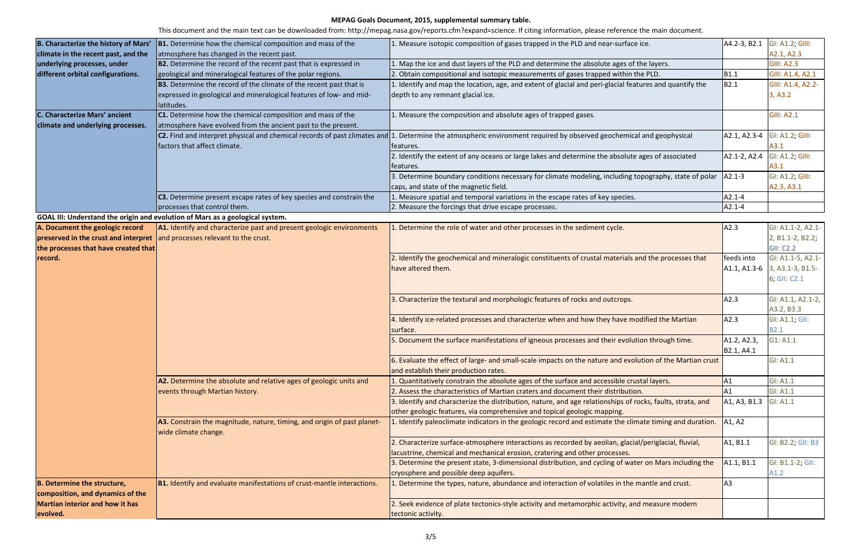| B. Characterize the history of Mars'                                      | <b>B1.</b> Determine how the chemical composition and mass of the             | 1. Measure isotopic composition of gases trapped in the PLD and near-surface ice.                                                                                       | A4.2-3, B2.1                      | GI: A1.2; GIII:               |
|---------------------------------------------------------------------------|-------------------------------------------------------------------------------|-------------------------------------------------------------------------------------------------------------------------------------------------------------------------|-----------------------------------|-------------------------------|
| climate in the recent past, and the                                       | atmosphere has changed in the recent past.                                    |                                                                                                                                                                         |                                   | A2.1, A2.3                    |
| underlying processes, under                                               | <b>B2.</b> Determine the record of the recent past that is expressed in       | 1. Map the ice and dust layers of the PLD and determine the absolute ages of the layers.                                                                                |                                   | <b>GIII: A2.3</b>             |
| different orbital configurations.                                         | geological and mineralogical features of the polar regions.                   | 2. Obtain compositional and isotopic measurements of gases trapped within the PLD.                                                                                      | <b>B1.1</b>                       | GIII: A1.4, A2.1              |
|                                                                           | <b>B3.</b> Determine the record of the climate of the recent past that is     | 1. Identify and map the location, age, and extent of glacial and peri-glacial features and quantify the                                                                 | B2.1                              | GIII: A1.4, A2.2-             |
|                                                                           | expressed in geological and mineralogical features of low- and mid-           | depth to any remnant glacial ice.                                                                                                                                       |                                   | 3, A3.2                       |
|                                                                           | latitudes.                                                                    |                                                                                                                                                                         |                                   |                               |
| <b>C. Characterize Mars' ancient</b>                                      | C1. Determine how the chemical composition and mass of the                    | 1. Measure the composition and absolute ages of trapped gases.                                                                                                          |                                   | <b>GIII: A2.1</b>             |
| climate and underlying processes.                                         | atmosphere have evolved from the ancient past to the present.                 |                                                                                                                                                                         |                                   |                               |
|                                                                           |                                                                               | $ c2$ . Find and interpret physical and chemical records of past climates and 1. Determine the atmospheric environment required by observed geochemical and geophysical | A2.1, A2.3-4                      | GI: A1.2; GIII:               |
|                                                                           | factors that affect climate.                                                  | features.                                                                                                                                                               |                                   | A3.1                          |
|                                                                           |                                                                               | 2. Identify the extent of any oceans or large lakes and determine the absolute ages of associated                                                                       | A2.1-2, A2.4                      | GI: A1.2; GIII:               |
|                                                                           |                                                                               | features.                                                                                                                                                               |                                   | A3.1                          |
|                                                                           |                                                                               | 3. Determine boundary conditions necessary for climate modeling, including topography, state of polar                                                                   | $A2.1 - 3$                        | GI: A1.2; GIII:               |
|                                                                           |                                                                               | caps, and state of the magnetic field.                                                                                                                                  |                                   | A2.3, A3.1                    |
|                                                                           | C3. Determine present escape rates of key species and constrain the           | 1. Measure spatial and temporal variations in the escape rates of key species.                                                                                          | $A2.1 - 4$                        |                               |
|                                                                           | processes that control them.                                                  | 2. Measure the forcings that drive escape processes.                                                                                                                    | $A2.1 - 4$                        |                               |
|                                                                           | GOAL III: Understand the origin and evolution of Mars as a geological system. |                                                                                                                                                                         |                                   |                               |
| A. Document the geologic record                                           | A1. Identify and characterize past and present geologic environments          | 1. Determine the role of water and other processes in the sediment cycle.                                                                                               | A2.3                              | GI: A1.1-2, A2.1-             |
| preserved in the crust and interpret and processes relevant to the crust. |                                                                               |                                                                                                                                                                         |                                   | 2, B1.1-2, B2.2;              |
| the processes that have created that                                      |                                                                               |                                                                                                                                                                         |                                   | <b>GII: C2.2</b>              |
| record.                                                                   |                                                                               | 2. Identify the geochemical and mineralogic constituents of crustal materials and the processes that                                                                    | feeds into                        | GI: A1.1-5, A2.1-             |
|                                                                           |                                                                               | have altered them.                                                                                                                                                      |                                   | A1.1, A1.3-6 3, A3.1-3, B1.5- |
|                                                                           |                                                                               |                                                                                                                                                                         |                                   | 6; GII: C2.1                  |
|                                                                           |                                                                               |                                                                                                                                                                         |                                   |                               |
|                                                                           |                                                                               | 3. Characterize the textural and morphologic features of rocks and outcrops.                                                                                            | A2.3                              | GI: A1.1, A2.1-2,             |
|                                                                           |                                                                               |                                                                                                                                                                         |                                   | A3.2, B3.3                    |
|                                                                           |                                                                               | 4. Identify ice-related processes and characterize when and how they have modified the Martian                                                                          | A2.3                              | GI: A1.1; GII:                |
|                                                                           |                                                                               | surface.                                                                                                                                                                |                                   | <b>B2.1</b>                   |
|                                                                           |                                                                               | 5. Document the surface manifestations of igneous processes and their evolution through time.                                                                           | A1.2, A2.3,                       | G1: A1.1                      |
|                                                                           |                                                                               |                                                                                                                                                                         | B2.1, A4.1                        |                               |
|                                                                           |                                                                               | 6. Evaluate the effect of large- and small-scale impacts on the nature and evolution of the Martian crust                                                               |                                   | <b>GI: A1.1</b>               |
|                                                                           |                                                                               | and establish their production rates.                                                                                                                                   |                                   |                               |
|                                                                           | A2. Determine the absolute and relative ages of geologic units and            | 1. Quantitatively constrain the absolute ages of the surface and accessible crustal layers.                                                                             | AA                                | <b>GI: A1.1</b>               |
|                                                                           | events through Martian history.                                               | 2. Assess the characteristics of Martian craters and document their distribution.                                                                                       | A1                                | GI: A1.1                      |
|                                                                           |                                                                               | 3. Identify and characterize the distribution, nature, and age relationships of rocks, faults, strata, and                                                              | A1, A3, B1.3                      | <b>GI: A1.1</b>               |
|                                                                           |                                                                               | other geologic features, via comprehensive and topical geologic mapping.                                                                                                |                                   |                               |
|                                                                           | A3. Constrain the magnitude, nature, timing, and origin of past planet-       | 1. Identify paleoclimate indicators in the geologic record and estimate the climate timing and duration.                                                                | A1, A2                            |                               |
|                                                                           | wide climate change.                                                          |                                                                                                                                                                         |                                   |                               |
|                                                                           |                                                                               | 2. Characterize surface-atmosphere interactions as recorded by aeolian, glacial/periglacial, fluvial,                                                                   | A <sub>1</sub> , B <sub>1.1</sub> | GI: B2.2; GII: B3             |
|                                                                           |                                                                               | lacustrine, chemical and mechanical erosion, cratering and other processes.                                                                                             |                                   |                               |
|                                                                           |                                                                               | 3. Determine the present state, 3-dimensional distribution, and cycling of water on Mars including the                                                                  | A1.1, B1.1                        | GI: B1.1-2; GII:              |
|                                                                           |                                                                               | cryosphere and possible deep aquifers.                                                                                                                                  |                                   | A1.2                          |
| <b>B. Determine the structure,</b>                                        | <b>B1.</b> Identify and evaluate manifestations of crust-mantle interactions. | 1. Determine the types, nature, abundance and interaction of volatiles in the mantle and crust.                                                                         | A <sub>3</sub>                    |                               |
| composition, and dynamics of the                                          |                                                                               |                                                                                                                                                                         |                                   |                               |
| <b>Martian interior and how it has</b>                                    |                                                                               | 2. Seek evidence of plate tectonics-style activity and metamorphic activity, and measure modern                                                                         |                                   |                               |
| evolved.                                                                  |                                                                               | tectonic activity.                                                                                                                                                      |                                   |                               |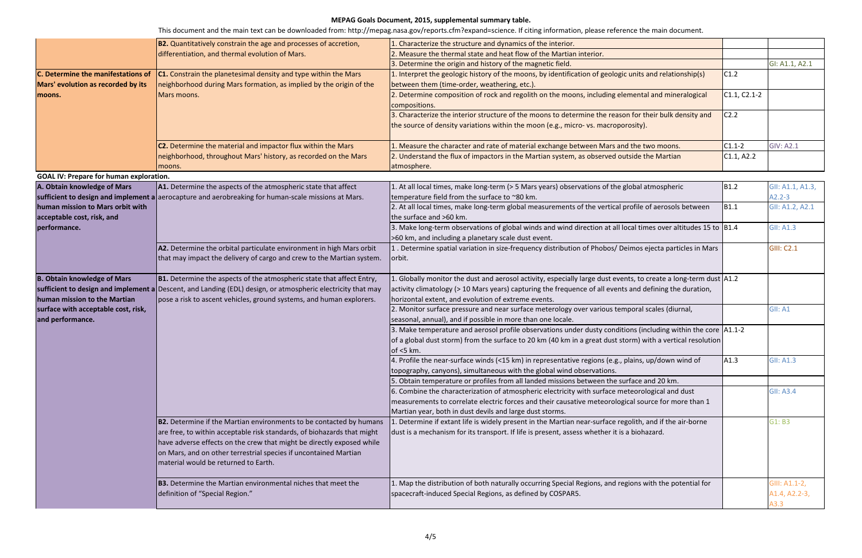|                                                | <b>B2.</b> Quantitatively constrain the age and processes of accretion,                                                                                                             | . Characterize the structure and dynamics of the interior.                                                                                                     |                  |                   |
|------------------------------------------------|-------------------------------------------------------------------------------------------------------------------------------------------------------------------------------------|----------------------------------------------------------------------------------------------------------------------------------------------------------------|------------------|-------------------|
|                                                | differentiation, and thermal evolution of Mars.                                                                                                                                     | . Measure the thermal state and heat flow of the Martian interior.                                                                                             |                  |                   |
|                                                |                                                                                                                                                                                     | 3. Determine the origin and history of the magnetic field.                                                                                                     |                  | GI: A1.1, A2.1    |
| C. Determine the manifestations of             | <b>C1.</b> Constrain the planetesimal density and type within the Mars                                                                                                              | 1. Interpret the geologic history of the moons, by identification of geologic units and relationship(s)                                                        | C1.2             |                   |
| Mars' evolution as recorded by its<br>moons.   | neighborhood during Mars formation, as implied by the origin of the<br>Mars moons.                                                                                                  | between them (time-order, weathering, etc.).                                                                                                                   |                  |                   |
|                                                |                                                                                                                                                                                     | 2. Determine composition of rock and regolith on the moons, including elemental and mineralogical                                                              | $C1.1, C2.1-2$   |                   |
|                                                |                                                                                                                                                                                     | compositions.                                                                                                                                                  |                  |                   |
|                                                |                                                                                                                                                                                     | 3. Characterize the interior structure of the moons to determine the reason for their bulk density and                                                         | C <sub>2.2</sub> |                   |
|                                                |                                                                                                                                                                                     | the source of density variations within the moon (e.g., micro- vs. macroporosity).                                                                             |                  |                   |
|                                                |                                                                                                                                                                                     |                                                                                                                                                                |                  |                   |
|                                                | C2. Determine the material and impactor flux within the Mars                                                                                                                        | 1. Measure the character and rate of material exchange between Mars and the two moons.                                                                         | $C1.1-2$         | <b>GIV: A2.1</b>  |
|                                                | neighborhood, throughout Mars' history, as recorded on the Mars                                                                                                                     | 2. Understand the flux of impactors in the Martian system, as observed outside the Martian                                                                     | C1.1, A2.2       |                   |
|                                                | moons.                                                                                                                                                                              | atmosphere.                                                                                                                                                    |                  |                   |
| <b>GOAL IV: Prepare for human exploration.</b> |                                                                                                                                                                                     |                                                                                                                                                                |                  |                   |
| A. Obtain knowledge of Mars                    | A1. Determine the aspects of the atmospheric state that affect                                                                                                                      | 1. At all local times, make long-term (> 5 Mars years) observations of the global atmospheric                                                                  | <b>B1.2</b>      | GII: A1.1, A1.3,  |
|                                                | sufficient to design and implement a aerocapture and aerobreaking for human-scale missions at Mars.                                                                                 | temperature field from the surface to ~80 km.                                                                                                                  |                  | $A2.2 - 3$        |
| human mission to Mars orbit with               |                                                                                                                                                                                     | 2. At all local times, make long-term global measurements of the vertical profile of aerosols between                                                          | B <sub>1.1</sub> | GII: A1.2, A2.1   |
| acceptable cost, risk, and                     |                                                                                                                                                                                     | the surface and >60 km.                                                                                                                                        |                  |                   |
| performance.                                   |                                                                                                                                                                                     | 3. Make long-term observations of global winds and wind direction at all local times over altitudes 15 to $ B1.4 $                                             |                  | <b>GII: A1.3</b>  |
|                                                |                                                                                                                                                                                     | >60 km, and including a planetary scale dust event.                                                                                                            |                  |                   |
|                                                | A2. Determine the orbital particulate environment in high Mars orbit                                                                                                                | 1. Determine spatial variation in size-frequency distribution of Phobos/ Deimos ejecta particles in Mars                                                       |                  | <b>GIII: C2.1</b> |
|                                                | that may impact the delivery of cargo and crew to the Martian system.                                                                                                               | orbit.                                                                                                                                                         |                  |                   |
|                                                |                                                                                                                                                                                     |                                                                                                                                                                |                  |                   |
| <b>B. Obtain knowledge of Mars</b>             | <b>B1.</b> Determine the aspects of the atmospheric state that affect Entry,                                                                                                        | . Globally monitor the dust and aerosol activity, especially large dust events, to create a long-term dust $ $ A1.2                                            |                  |                   |
| human mission to the Martian                   | sufficient to design and implement a Descent, and Landing (EDL) design, or atmospheric electricity that may<br>pose a risk to ascent vehicles, ground systems, and human explorers. | activity climatology (> 10 Mars years) capturing the frequence of all events and defining the duration,<br>horizontal extent, and evolution of extreme events. |                  |                   |
| surface with acceptable cost, risk,            |                                                                                                                                                                                     | 2. Monitor surface pressure and near surface meterology over various temporal scales (diurnal,                                                                 |                  | GII: A1           |
| and performance.                               |                                                                                                                                                                                     | seasonal, annual), and if possible in more than one locale.                                                                                                    |                  |                   |
|                                                |                                                                                                                                                                                     | 3. Make temperature and aerosol profile observations under dusty conditions (including within the core  A1.1-2                                                 |                  |                   |
|                                                |                                                                                                                                                                                     | of a global dust storm) from the surface to 20 km (40 km in a great dust storm) with a vertical resolution                                                     |                  |                   |
|                                                |                                                                                                                                                                                     | of $<$ 5 km.                                                                                                                                                   |                  |                   |
|                                                |                                                                                                                                                                                     | 4. Profile the near-surface winds (<15 km) in representative regions (e.g., plains, up/down wind of                                                            | A1.3             | <b>GII: A1.3</b>  |
|                                                |                                                                                                                                                                                     | topography, canyons), simultaneous with the global wind observations.                                                                                          |                  |                   |
|                                                |                                                                                                                                                                                     | 5. Obtain temperature or profiles from all landed missions between the surface and 20 km.                                                                      |                  |                   |
|                                                |                                                                                                                                                                                     | 6. Combine the characterization of atmospheric electricity with surface meteorological and dust                                                                |                  | <b>GII: A3.4</b>  |
|                                                |                                                                                                                                                                                     | measurements to correlate electric forces and their causative meteorological source for more than 1                                                            |                  |                   |
|                                                |                                                                                                                                                                                     | Martian year, both in dust devils and large dust storms.                                                                                                       |                  |                   |
|                                                | <b>B2.</b> Determine if the Martian environments to be contacted by humans                                                                                                          | . Determine if extant life is widely present in the Martian near-surface regolith, and if the air-borne                                                        |                  | G1: B3            |
|                                                | are free, to within acceptable risk standards, of biohazards that might                                                                                                             | dust is a mechanism for its transport. If life is present, assess whether it is a biohazard.                                                                   |                  |                   |
|                                                | have adverse effects on the crew that might be directly exposed while                                                                                                               |                                                                                                                                                                |                  |                   |
|                                                | on Mars, and on other terrestrial species if uncontained Martian                                                                                                                    |                                                                                                                                                                |                  |                   |
|                                                | material would be returned to Earth.                                                                                                                                                |                                                                                                                                                                |                  |                   |
|                                                |                                                                                                                                                                                     |                                                                                                                                                                |                  |                   |
|                                                | <b>B3.</b> Determine the Martian environmental niches that meet the                                                                                                                 | 1. Map the distribution of both naturally occurring Special Regions, and regions with the potential for                                                        |                  | GIII: A1.1-2,     |
|                                                | definition of "Special Region."                                                                                                                                                     | spacecraft-induced Special Regions, as defined by COSPAR5.                                                                                                     |                  | A1.4, A2.2-3,     |
|                                                |                                                                                                                                                                                     |                                                                                                                                                                |                  | A3.3              |